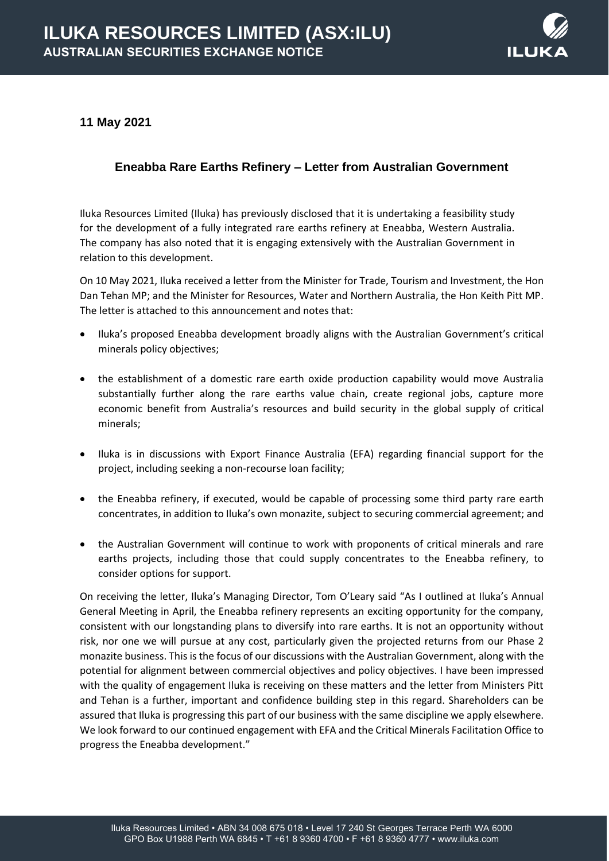

**11 May 2021**

## **Eneabba Rare Earths Refinery – Letter from Australian Government**

Iluka Resources Limited (Iluka) has previously disclosed that it is undertaking a feasibility study for the development of a fully integrated rare earths refinery at Eneabba, Western Australia. The company has also noted that it is engaging extensively with the Australian Government in relation to this development.

On 10 May 2021, Iluka received a letter from the Minister for Trade, Tourism and Investment, the Hon Dan Tehan MP; and the Minister for Resources, Water and Northern Australia, the Hon Keith Pitt MP. The letter is attached to this announcement and notes that:

- Iluka's proposed Eneabba development broadly aligns with the Australian Government's critical minerals policy objectives;
- the establishment of a domestic rare earth oxide production capability would move Australia substantially further along the rare earths value chain, create regional jobs, capture more economic benefit from Australia's resources and build security in the global supply of critical minerals;
- Iluka is in discussions with Export Finance Australia (EFA) regarding financial support for the project, including seeking a non-recourse loan facility;
- the Eneabba refinery, if executed, would be capable of processing some third party rare earth concentrates, in addition to Iluka's own monazite, subject to securing commercial agreement; and
- the Australian Government will continue to work with proponents of critical minerals and rare earths projects, including those that could supply concentrates to the Eneabba refinery, to consider options for support.

On receiving the letter, Iluka's Managing Director, Tom O'Leary said "As I outlined at Iluka's Annual General Meeting in April, the Eneabba refinery represents an exciting opportunity for the company, consistent with our longstanding plans to diversify into rare earths. It is not an opportunity without risk, nor one we will pursue at any cost, particularly given the projected returns from our Phase 2 monazite business. This is the focus of our discussions with the Australian Government, along with the potential for alignment between commercial objectives and policy objectives. I have been impressed with the quality of engagement Iluka is receiving on these matters and the letter from Ministers Pitt and Tehan is a further, important and confidence building step in this regard. Shareholders can be assured that Iluka is progressing this part of our business with the same discipline we apply elsewhere. We look forward to our continued engagement with EFA and the Critical Minerals Facilitation Office to progress the Eneabba development."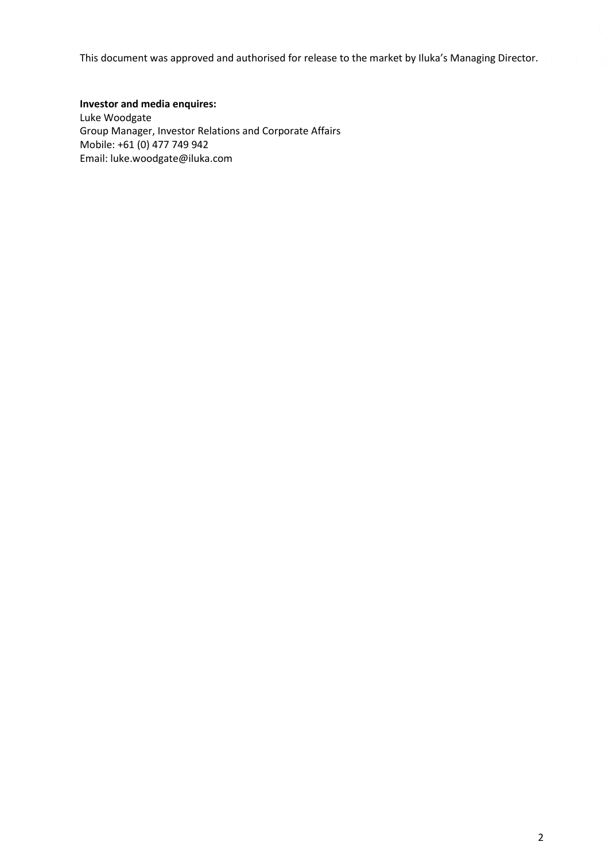This document was approved and authorised for release to the market by Iluka's Managing Director.

## **Investor and media enquires:**

Luke Woodgate Group Manager, Investor Relations and Corporate Affairs Mobile: +61 (0) 477 749 942 Email: [luke.woodgate@iluka.com](mailto:luke.woodgate@iluka.com)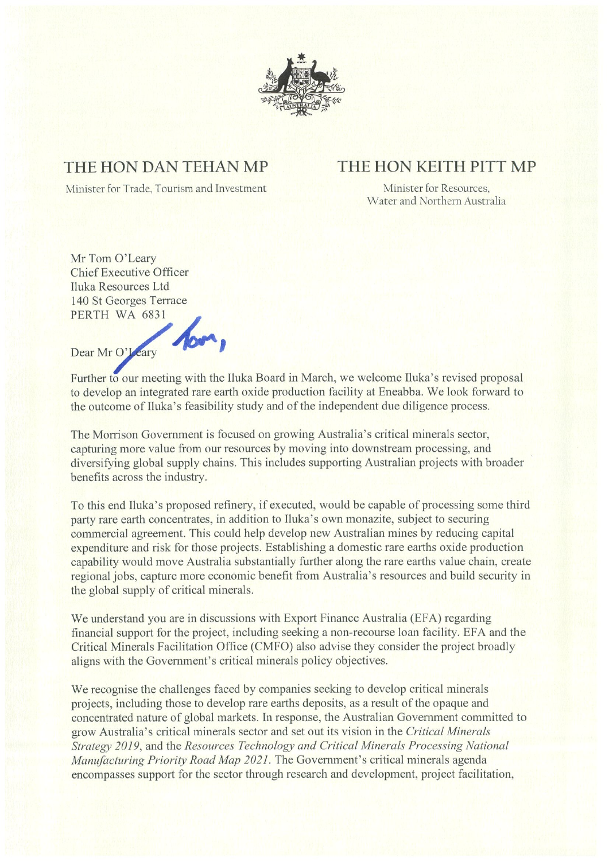

## THE HON DAN TEHAN MP

## THE HON KEITH PITT MP

Minister for Trade, Tourism and Investment

Minister for Resources, Water and Northern Australia

Mr Tom O'Leary **Chief Executive Officer** Iluka Resources Ltd 140 St Georges Terrace PERTH WA 6831 Dear Mr O'Jeary

Further to our meeting with the Iluka Board in March, we welcome Iluka's revised proposal to develop an integrated rare earth oxide production facility at Eneabba. We look forward to the outcome of Iluka's feasibility study and of the independent due diligence process.

The Morrison Government is focused on growing Australia's critical minerals sector, capturing more value from our resources by moving into downstream processing, and diversifying global supply chains. This includes supporting Australian projects with broader benefits across the industry.

To this end Iluka's proposed refinery, if executed, would be capable of processing some third party rare earth concentrates, in addition to Iluka's own monazite, subject to securing commercial agreement. This could help develop new Australian mines by reducing capital expenditure and risk for those projects. Establishing a domestic rare earths oxide production capability would move Australia substantially further along the rare earths value chain, create regional jobs, capture more economic benefit from Australia's resources and build security in the global supply of critical minerals.

We understand you are in discussions with Export Finance Australia (EFA) regarding financial support for the project, including seeking a non-recourse loan facility. EFA and the Critical Minerals Facilitation Office (CMFO) also advise they consider the project broadly aligns with the Government's critical minerals policy objectives.

We recognise the challenges faced by companies seeking to develop critical minerals projects, including those to develop rare earths deposits, as a result of the opaque and concentrated nature of global markets. In response, the Australian Government committed to grow Australia's critical minerals sector and set out its vision in the Critical Minerals Strategy 2019, and the Resources Technology and Critical Minerals Processing National Manufacturing Priority Road Map 2021. The Government's critical minerals agenda encompasses support for the sector through research and development, project facilitation,